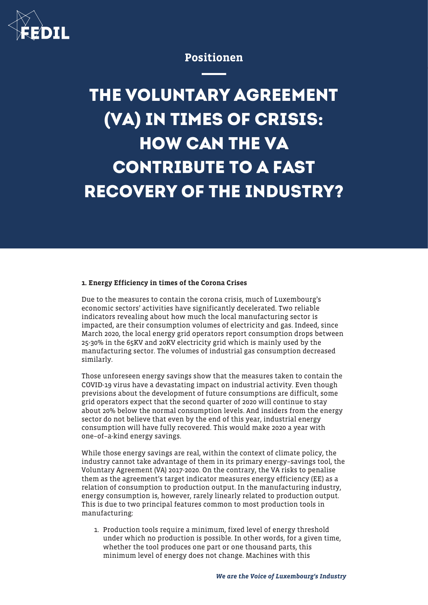

## Positionen

## **THE VOLUNTARY AGREEMENT (VA) IN TIMES OF CRISIS: HOW CAN THE VA CONTRIBUTE TO A FAST RECOVERY OF THE INDUSTRY?**

## 1. Energy Efficiency in times of the Corona Crises

Due to the measures to contain the corona crisis, much of Luxembourg's economic sectors' activities have significantly decelerated. Two reliable indicators revealing about how much the local manufacturing sector is impacted, are their consumption volumes of electricity and gas. Indeed, since March 2020, the local energy grid operators report consumption drops between 25-30% in the 65KV and 20KV electricity grid which is mainly used by the manufacturing sector. The volumes of industrial gas consumption decreased similarly.

Those unforeseen energy savings show that the measures taken to contain the COVID-19 virus have a devastating impact on industrial activity. Even though previsions about the development of future consumptions are difficult, some grid operators expect that the second quarter of 2020 will continue to stay about 20% below the normal consumption levels. And insiders from the energy sector do not believe that even by the end of this year, industrial energy consumption will have fully recovered. This would make 2020 a year with one–of–a-kind energy savings.

While those energy savings are real, within the context of climate policy, the industry cannot take advantage of them in its primary energy–savings tool, the Voluntary Agreement (VA) 2017-2020. On the contrary, the VA risks to penalise them as the agreement's target indicator measures energy efficiency (EE) as a relation of consumption to production output. In the manufacturing industry, energy consumption is, however, rarely linearly related to production output. This is due to two principal features common to most production tools in manufacturing:

1. Production tools require a minimum, fixed level of energy threshold under which no production is possible. In other words, for a given time, whether the tool produces one part or one thousand parts, this minimum level of energy does not change. Machines with this